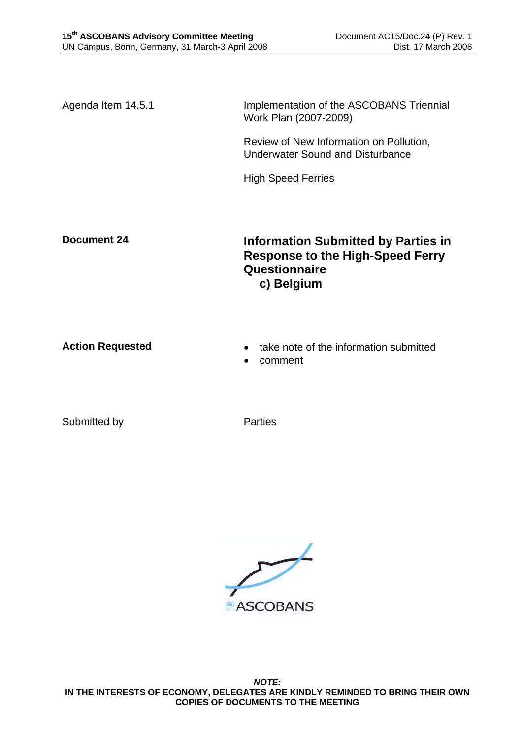Agenda Item 14.5.1 **Implementation of the ASCOBANS Triennial** Work Plan (2007-2009)

> Review of New Information on Pollution, Underwater Sound and Disturbance

High Speed Ferries

**Document 24** Information Submitted by Parties in **Response to the High-Speed Ferry Questionnaire c) Belgium** 

- **Action Requested**  take note of the information submitted
	- comment

Submitted by **Parties** 

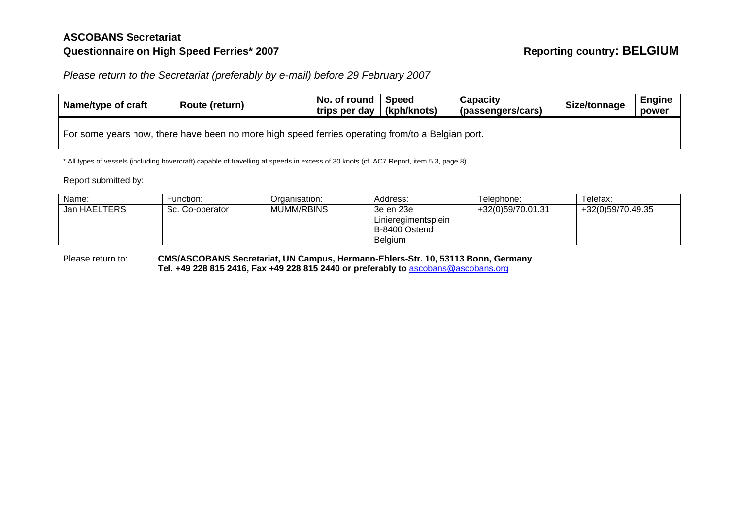## **ASCOBANS Secretariat Questionnaire on High Speed Ferries\* 2007 Reporting country: BELGIUM**

*Please return to the Secretariat (preferably by e-mail) before 29 February 2007* 

| Name/type of craft                                                                               | Route (return) | No. of round<br>trips per day   (kph/knots) | Speed | Capacity<br>(passengers/cars) | Size/tonnage | <b>Engine</b><br>power |  |  |
|--------------------------------------------------------------------------------------------------|----------------|---------------------------------------------|-------|-------------------------------|--------------|------------------------|--|--|
| For some years now, there have been no more high speed ferries operating from/to a Belgian port. |                |                                             |       |                               |              |                        |  |  |

\* All types of vessels (including hovercraft) capable of travelling at speeds in excess of 30 knots (cf. AC7 Report, item 5.3, page 8)

Report submitted by:

| Name:        | Function:       | Organisation: | Address:            | Telephone:        | Telefax:          |
|--------------|-----------------|---------------|---------------------|-------------------|-------------------|
| Jan HAELTERS | Sc. Co-operator | MUMM/RBINS    | 3e en 23e           | +32(0)59/70.01.31 | +32(0)59/70.49.35 |
|              |                 |               | Linieregimentsplein |                   |                   |
|              |                 |               | B-8400 Ostend       |                   |                   |
|              |                 |               | <b>Belaium</b>      |                   |                   |

Please return to: **CMS/ASCOBANS Secretariat, UN Campus, Hermann-Ehlers-Str. 10, 53113 Bonn, Germany Tel. +49 228 815 2416, Fax +49 228 815 2440 or preferably to** ascobans@ascobans.org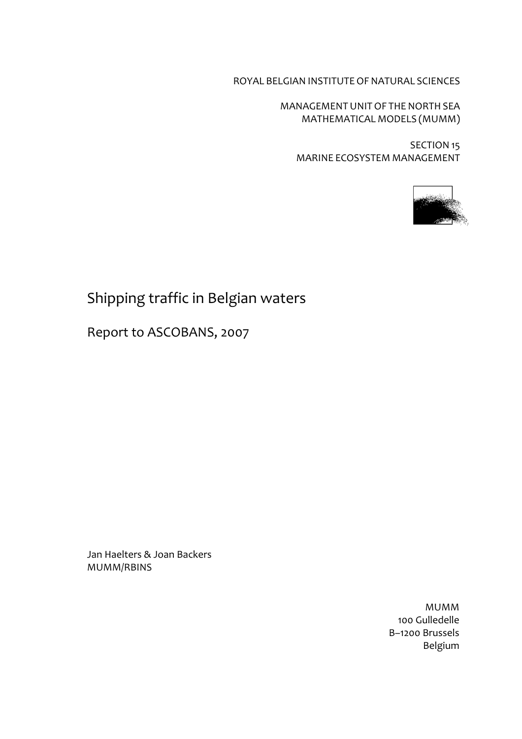ROYAL BELGIAN INSTITUTEOF NATURAL SCIENCES

MANAGEMENTUNITOF THE NORTH SEA MATHEMATICAL MODELS (MUMM)

SECTION 15 MARINE ECOSYSTEM MANAGEMENT



# Shipping traffic in Belgian waters

Report to ASCOBANS, 2007

Jan Haelters & Joan Backers MUMM/RBINS

> MUMM 100 Gulledelle B–1200 Brussels Belgium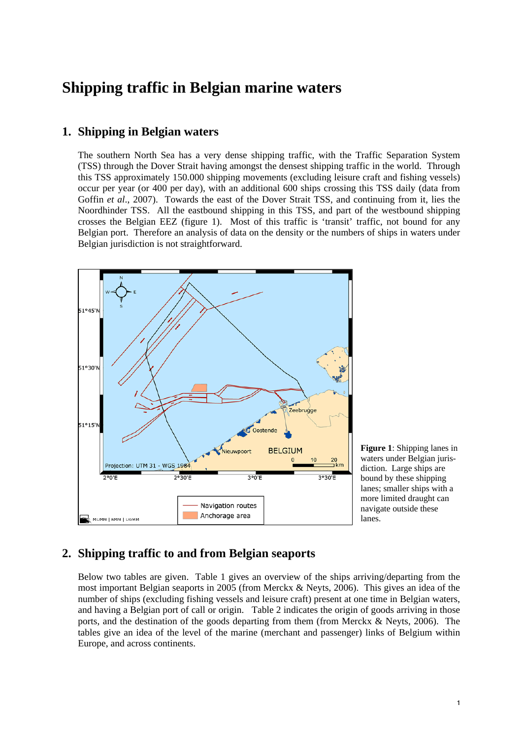# **Shipping traffic in Belgian marine waters**

### **1. Shipping in Belgian waters**

The southern North Sea has a very dense shipping traffic, with the Traffic Separation System (TSS) through the Dover Strait having amongst the densest shipping traffic in the world. Through this TSS approximately 150.000 shipping movements (excluding leisure craft and fishing vessels) occur per year (or 400 per day), with an additional 600 ships crossing this TSS daily (data from Goffin *et al*., 2007). Towards the east of the Dover Strait TSS, and continuing from it, lies the Noordhinder TSS. All the eastbound shipping in this TSS, and part of the westbound shipping crosses the Belgian EEZ (figure 1). Most of this traffic is 'transit' traffic, not bound for any Belgian port. Therefore an analysis of data on the density or the numbers of ships in waters under Belgian jurisdiction is not straightforward.



**Figure 1**: Shipping lanes in waters under Belgian jurisdiction. Large ships are bound by these shipping lanes; smaller ships with a more limited draught can navigate outside these lanes.

## **2. Shipping traffic to and from Belgian seaports**

Below two tables are given. Table 1 gives an overview of the ships arriving/departing from the most important Belgian seaports in 2005 (from Merckx & Neyts, 2006). This gives an idea of the number of ships (excluding fishing vessels and leisure craft) present at one time in Belgian waters, and having a Belgian port of call or origin. Table 2 indicates the origin of goods arriving in those ports, and the destination of the goods departing from them (from Merckx & Neyts, 2006). The tables give an idea of the level of the marine (merchant and passenger) links of Belgium within Europe, and across continents.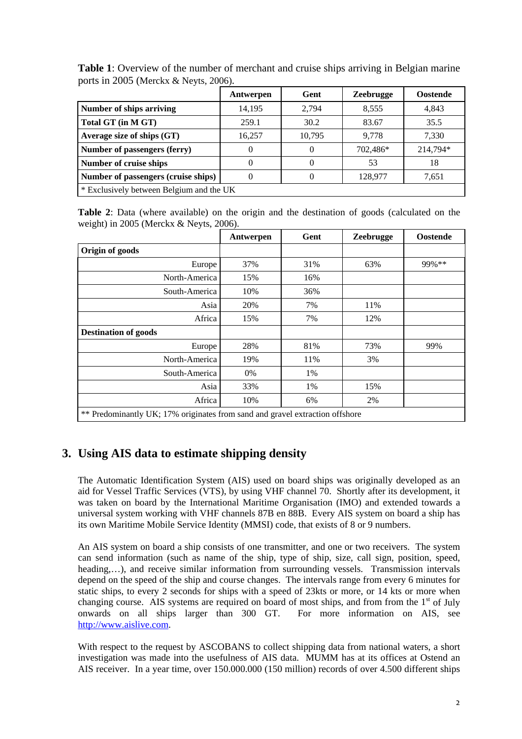|                                          | Antwerpen | Gent     | <b>Zeebrugge</b> | <b>Oostende</b> |  |
|------------------------------------------|-----------|----------|------------------|-----------------|--|
| Number of ships arriving                 | 14,195    | 2,794    | 8,555            | 4.843           |  |
| Total GT (in M GT)                       | 259.1     | 30.2     | 83.67            | 35.5            |  |
| Average size of ships (GT)               | 16.257    | 10,795   | 9.778            | 7,330           |  |
| Number of passengers (ferry)             |           | $\theta$ | 702,486*         | 214,794*        |  |
| Number of cruise ships                   | $\Omega$  | 0        | 53               | 18              |  |
| Number of passengers (cruise ships)      |           |          | 128,977          | 7,651           |  |
| * Exclusively between Belgium and the UK |           |          |                  |                 |  |

**Table 1**: Overview of the number of merchant and cruise ships arriving in Belgian marine ports in 2005 (Merckx & Neyts, 2006).

**Table 2**: Data (where available) on the origin and the destination of goods (calculated on the weight) in 2005 (Merckx & Neyts, 2006).

|                                                                              | Antwerpen | Gent | <b>Zeebrugge</b> | <b>Oostende</b> |
|------------------------------------------------------------------------------|-----------|------|------------------|-----------------|
| Origin of goods                                                              |           |      |                  |                 |
| Europe                                                                       | 37%       | 31%  | 63%              | 99%**           |
| North-America                                                                | 15%       | 16%  |                  |                 |
| South-America                                                                | 10%       | 36%  |                  |                 |
| Asia                                                                         | 20%       | 7%   | 11%              |                 |
| Africa                                                                       | 15%       | 7%   | 12%              |                 |
| <b>Destination of goods</b>                                                  |           |      |                  |                 |
| Europe                                                                       | 28%       | 81%  | 73%              | 99%             |
| North-America                                                                | 19%       | 11%  | 3%               |                 |
| South-America                                                                | 0%        | 1%   |                  |                 |
| Asia                                                                         | 33%       | 1%   | 15%              |                 |
| Africa                                                                       | 10%       | 6%   | 2%               |                 |
| ** Predominantly UK; 17% originates from sand and gravel extraction offshore |           |      |                  |                 |

# **3. Using AIS data to estimate shipping density**

The Automatic Identification System (AIS) used on board ships was originally developed as an aid for Vessel Traffic Services (VTS), by using VHF channel 70. Shortly after its development, it was taken on board by the International Maritime Organisation (IMO) and extended towards a universal system working with VHF channels 87B en 88B. Every AIS system on board a ship has its own Maritime Mobile Service Identity (MMSI) code, that exists of 8 or 9 numbers.

An AIS system on board a ship consists of one transmitter, and one or two receivers. The system can send information (such as name of the ship, type of ship, size, call sign, position, speed, heading,...), and receive similar information from surrounding vessels. Transmission intervals depend on the speed of the ship and course changes. The intervals range from every 6 minutes for static ships, to every 2 seconds for ships with a speed of 23kts or more, or 14 kts or more when changing course. AIS systems are required on board of most ships, and from from the  $1<sup>st</sup>$  of July onwards on all ships larger than 300 GT. For more information on AIS, see http://www.aislive.com.

With respect to the request by ASCOBANS to collect shipping data from national waters, a short investigation was made into the usefulness of AIS data. MUMM has at its offices at Ostend an AIS receiver. In a year time, over 150.000.000 (150 million) records of over 4.500 different ships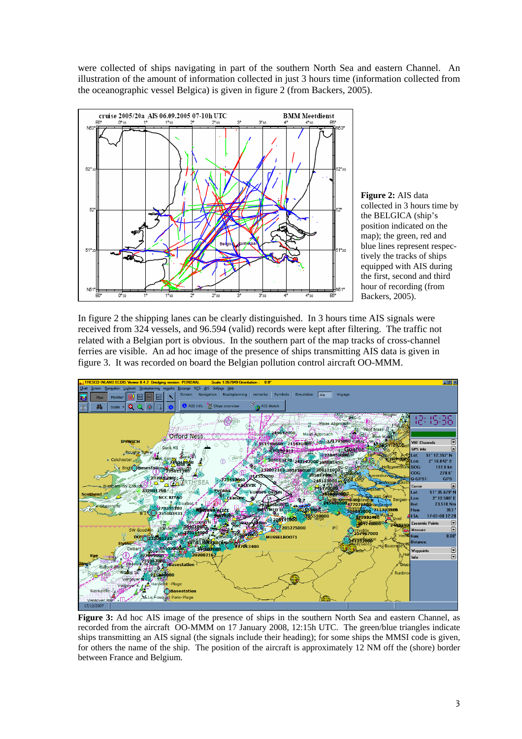were collected of ships navigating in part of the southern North Sea and eastern Channel. An illustration of the amount of information collected in just 3 hours time (information collected from the oceanographic vessel Belgica) is given in figure 2 (from Backers, 2005).



**Figure 2:** AIS data collected in 3 hours time by the BELGICA (ship's position indicated on the map); the green, red and blue lines represent respectively the tracks of ships equipped with AIS during the first, second and third hour of recording (from Backers, 2005).

In figure 2 the shipping lanes can be clearly distinguished. In 3 hours time AIS signals were received from 324 vessels, and 96.594 (valid) records were kept after filtering. The traffic not related with a Belgian port is obvious. In the southern part of the map tracks of cross-channel ferries are visible. An ad hoc image of the presence of ships transmitting AIS data is given in figure 3. It was recorded on board the Belgian pollution control aircraft OO-MMM.



**Figure 3:** Ad hoc AIS image of the presence of ships in the southern North Sea and eastern Channel, as recorded from the aircraft OO-MMM on 17 January 2008, 12:15h UTC. The green/blue triangles indicate ships transmitting an AIS signal (the signals include their heading); for some ships the MMSI code is given, for others the name of the ship. The position of the aircraft is approximately 12 NM off the (shore) border between France and Belgium.